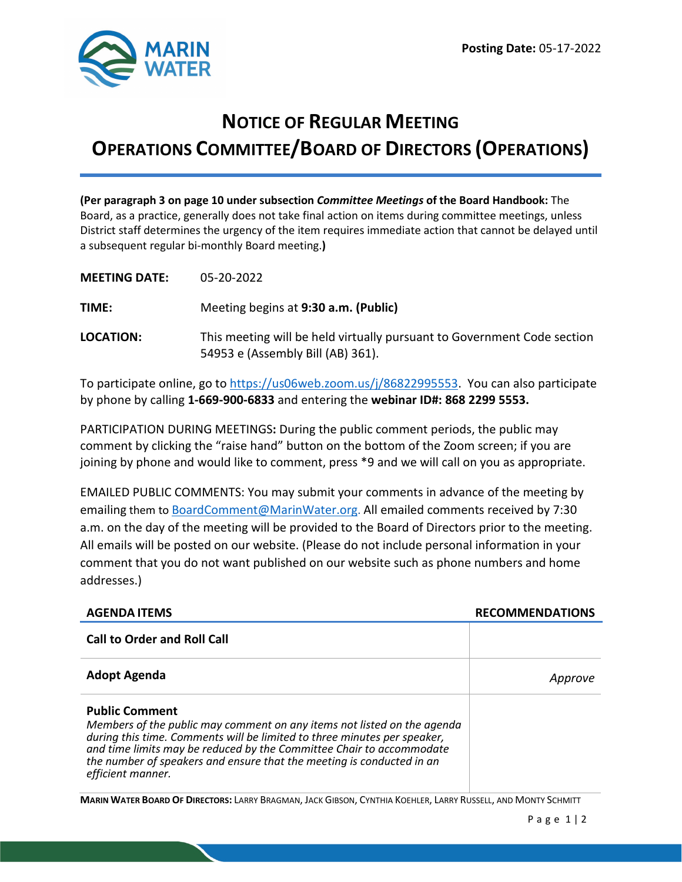

# **NOTICE OF REGULAR MEETING OPERATIONS COMMITTEE/BOARD OF DIRECTORS (OPERATIONS)**

**(Per paragraph 3 on page 10 under subsection** *Committee Meetings* **of the Board Handbook:** The Board, as a practice, generally does not take final action on items during committee meetings, unless District staff determines the urgency of the item requires immediate action that cannot be delayed until a subsequent regular bi-monthly Board meeting.**)**

| <b>MEETING DATE:</b> | 05-20-2022                                                                                                   |
|----------------------|--------------------------------------------------------------------------------------------------------------|
| TIME:                | Meeting begins at 9:30 a.m. (Public)                                                                         |
| <b>LOCATION:</b>     | This meeting will be held virtually pursuant to Government Code section<br>54953 e (Assembly Bill (AB) 361). |

To participate online, go to [https://us06web.zoom.us/j/86822995553.](https://us06web.zoom.us/j/86822995553) You can also participate by phone by calling **1-669-900-6833** and entering the **webinar ID#: 868 2299 5553.**

PARTICIPATION DURING MEETINGS**:** During the public comment periods, the public may comment by clicking the "raise hand" button on the bottom of the Zoom screen; if you are joining by phone and would like to comment, press \*9 and we will call on you as appropriate.

EMAILED PUBLIC COMMENTS: You may submit your comments in advance of the meeting by emailing them to [BoardComment@MarinWater.org.](mailto:BoardComment@MarinWater.org) All emailed comments received by 7:30 a.m. on the day of the meeting will be provided to the Board of Directors prior to the meeting. All emails will be posted on our website. (Please do not include personal information in your comment that you do not want published on our website such as phone numbers and home addresses.)

| <b>AGENDA ITEMS</b>                                                                                                                                                                                                                                                                                                                                | <b>RECOMMENDATIONS</b> |
|----------------------------------------------------------------------------------------------------------------------------------------------------------------------------------------------------------------------------------------------------------------------------------------------------------------------------------------------------|------------------------|
| <b>Call to Order and Roll Call</b>                                                                                                                                                                                                                                                                                                                 |                        |
| <b>Adopt Agenda</b>                                                                                                                                                                                                                                                                                                                                |                        |
| <b>Public Comment</b><br>Members of the public may comment on any items not listed on the agenda<br>during this time. Comments will be limited to three minutes per speaker,<br>and time limits may be reduced by the Committee Chair to accommodate<br>the number of speakers and ensure that the meeting is conducted in an<br>efficient manner. |                        |

**MARIN WATER BOARD OF DIRECTORS:** LARRY BRAGMAN, JACK GIBSON, CYNTHIA KOEHLER, LARRY RUSSELL, AND MONTY SCHMITT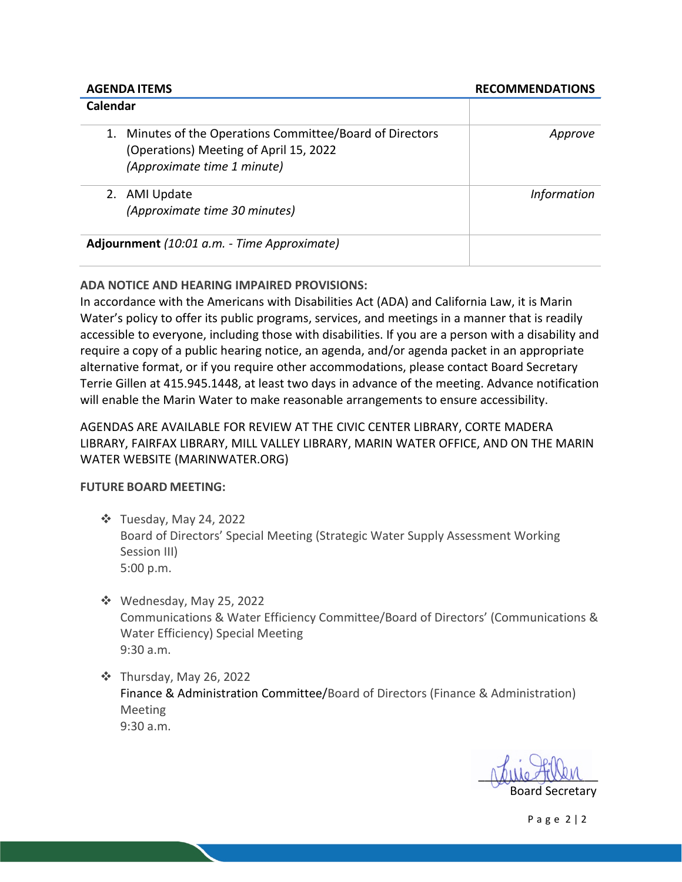#### **AGENDA ITEMS RECOMMENDATIONS**

| Calendar                                                                                                                              |                    |
|---------------------------------------------------------------------------------------------------------------------------------------|--------------------|
| Minutes of the Operations Committee/Board of Directors<br>1.<br>(Operations) Meeting of April 15, 2022<br>(Approximate time 1 minute) | Approve            |
| AMI Update<br>(Approximate time 30 minutes)                                                                                           | <i>Information</i> |
| Adjournment (10:01 a.m. - Time Approximate)                                                                                           |                    |

### **ADA NOTICE AND HEARING IMPAIRED PROVISIONS:**

In accordance with the Americans with Disabilities Act (ADA) and California Law, it is Marin Water's policy to offer its public programs, services, and meetings in a manner that is readily accessible to everyone, including those with disabilities. If you are a person with a disability and require a copy of a public hearing notice, an agenda, and/or agenda packet in an appropriate alternative format, or if you require other accommodations, please contact Board Secretary Terrie Gillen at 415.945.1448, at least two days in advance of the meeting. Advance notification will enable the Marin Water to make reasonable arrangements to ensure accessibility.

## AGENDAS ARE AVAILABLE FOR REVIEW AT THE CIVIC CENTER LIBRARY, CORTE MADERA LIBRARY, FAIRFAX LIBRARY, MILL VALLEY LIBRARY, MARIN WATER OFFICE, AND ON THE MARIN WATER WEBSITE (MARINWATER.ORG)

#### **FUTURE BOARD MEETING:**

- Tuesday, May 24, 2022 Board of Directors' Special Meeting (Strategic Water Supply Assessment Working Session III) 5:00 p.m.
- Wednesday, May 25, 2022 Communications & Water Efficiency Committee/Board of Directors' (Communications & Water Efficiency) Special Meeting 9:30 a.m.
- Thursday, May 26, 2022 Finance & Administration Committee/Board of Directors (Finance & Administration) Meeting 9:30 a.m.

 $\Lambda$ aule-tassen Board Secretary New York 2014 1996 and Secretary

Page 2 | 2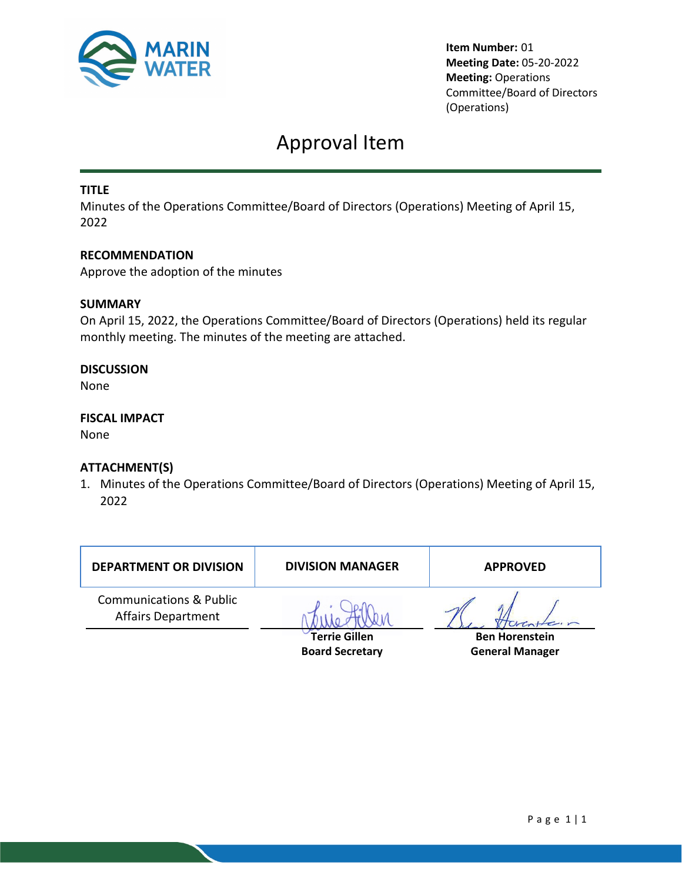

**Item Number:** 01 **Meeting Date:** 05-20-2022 **Meeting:** Operations Committee/Board of Directors (Operations)

## Approval Item

### **TITLE**

Minutes of the Operations Committee/Board of Directors (Operations) Meeting of April 15, 2022

#### **RECOMMENDATION**

Approve the adoption of the minutes

#### **SUMMARY**

On April 15, 2022, the Operations Committee/Board of Directors (Operations) held its regular monthly meeting. The minutes of the meeting are attached.

#### **DISCUSSION**

None

#### **FISCAL IMPACT**

None

#### **ATTACHMENT(S)**

1. Minutes of the Operations Committee/Board of Directors (Operations) Meeting of April 15, 2022

| <b>DEPARTMENT OR DIVISION</b>                                   | <b>DIVISION MANAGER</b> | <b>APPROVED</b>       |
|-----------------------------------------------------------------|-------------------------|-----------------------|
| <b>Communications &amp; Public</b><br><b>Affairs Department</b> |                         |                       |
|                                                                 | <b>Terrie Gillen</b>    | <b>Ben Horenstein</b> |

**Board Secretary**

**General Manager**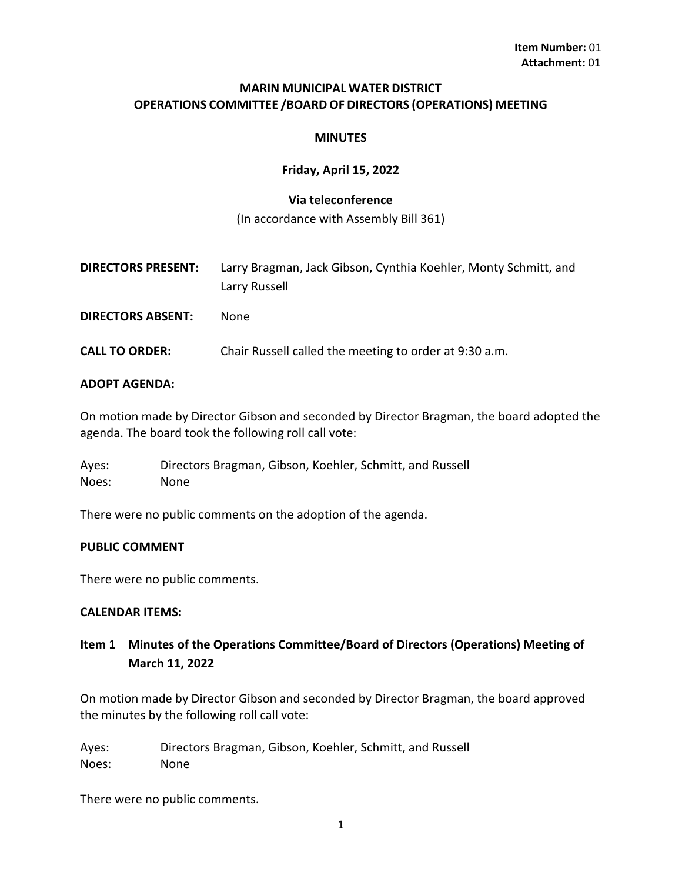#### **MARIN MUNICIPAL WATER DISTRICT OPERATIONS COMMITTEE /BOARD OF DIRECTORS (OPERATIONS) MEETING**

#### **MINUTES**

#### **Friday, April 15, 2022**

#### **Via teleconference**

(In accordance with Assembly Bill 361)

- **DIRECTORS PRESENT:** Larry Bragman, Jack Gibson, Cynthia Koehler, Monty Schmitt, and Larry Russell
- **DIRECTORS ABSENT:** None
- **CALL TO ORDER:** Chair Russell called the meeting to order at 9:30 a.m.

#### **ADOPT AGENDA:**

On motion made by Director Gibson and seconded by Director Bragman, the board adopted the agenda. The board took the following roll call vote:

Ayes: Directors Bragman, Gibson, Koehler, Schmitt, and Russell Noes: None

There were no public comments on the adoption of the agenda.

#### **PUBLIC COMMENT**

There were no public comments.

#### **CALENDAR ITEMS:**

## **Item 1 Minutes of the Operations Committee/Board of Directors (Operations) Meeting of March 11, 2022**

On motion made by Director Gibson and seconded by Director Bragman, the board approved the minutes by the following roll call vote:

Ayes: Directors Bragman, Gibson, Koehler, Schmitt, and Russell Noes: None

There were no public comments.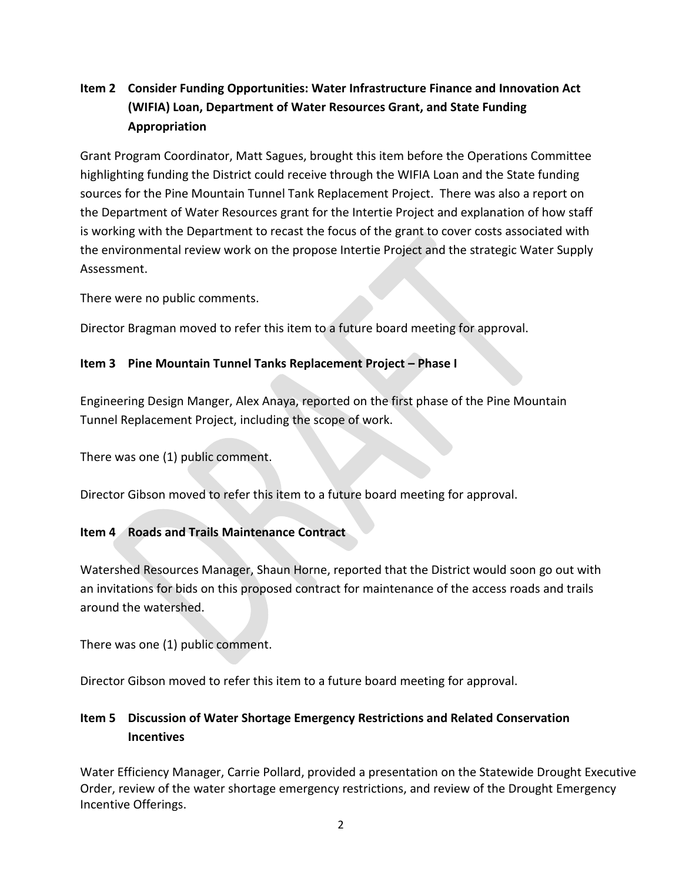## **Item 2 Consider Funding Opportunities: Water Infrastructure Finance and Innovation Act (WIFIA) Loan, Department of Water Resources Grant, and State Funding Appropriation**

Grant Program Coordinator, Matt Sagues, brought this item before the Operations Committee highlighting funding the District could receive through the WIFIA Loan and the State funding sources for the Pine Mountain Tunnel Tank Replacement Project. There was also a report on the Department of Water Resources grant for the Intertie Project and explanation of how staff is working with the Department to recast the focus of the grant to cover costs associated with the environmental review work on the propose Intertie Project and the strategic Water Supply Assessment.

There were no public comments.

Director Bragman moved to refer this item to a future board meeting for approval.

## **Item 3 Pine Mountain Tunnel Tanks Replacement Project – Phase I**

Engineering Design Manger, Alex Anaya, reported on the first phase of the Pine Mountain Tunnel Replacement Project, including the scope of work.

There was one (1) public comment.

Director Gibson moved to refer this item to a future board meeting for approval.

## **Item 4 Roads and Trails Maintenance Contract**

Watershed Resources Manager, Shaun Horne, reported that the District would soon go out with an invitations for bids on this proposed contract for maintenance of the access roads and trails around the watershed.

There was one (1) public comment.

Director Gibson moved to refer this item to a future board meeting for approval.

## **Item 5 Discussion of Water Shortage Emergency Restrictions and Related Conservation Incentives**

Water Efficiency Manager, Carrie Pollard, provided a presentation on the Statewide Drought Executive Order, review of the water shortage emergency restrictions, and review of the Drought Emergency Incentive Offerings.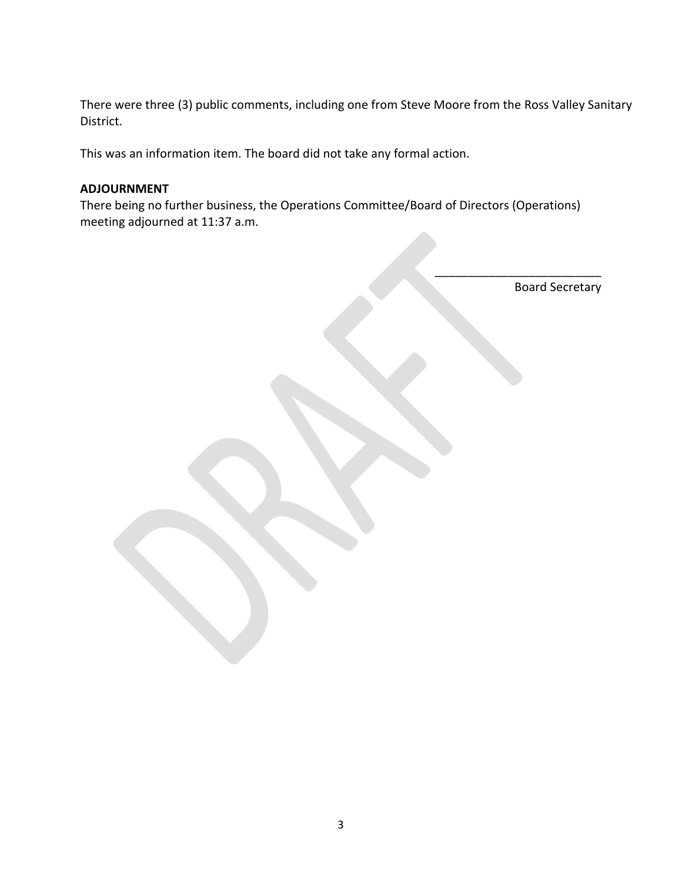There were three (3) public comments, including one from Steve Moore from the Ross Valley Sanitary District.

This was an information item. The board did not take any formal action.

#### **ADJOURNMENT**

There being no further business, the Operations Committee/Board of Directors (Operations) meeting adjourned at 11:37 a.m.

\_\_\_\_\_\_\_\_\_\_\_\_\_\_\_\_\_\_\_\_\_\_\_\_\_ Board Secretary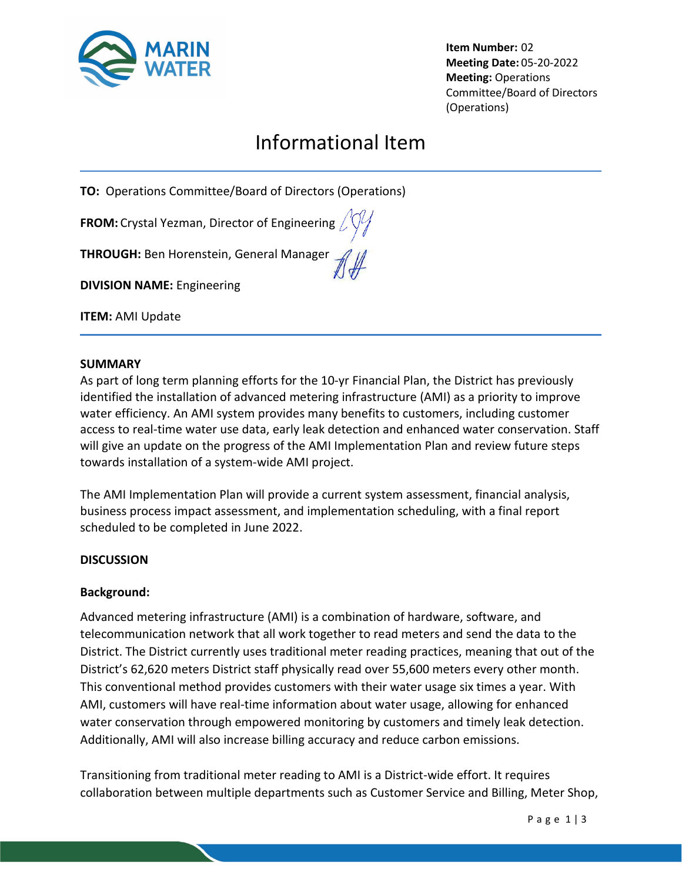

**Item Number:** 02 **Meeting Date:** 05-20-2022 **Meeting:** Operations Committee/Board of Directors (Operations)

# Informational Item

**TO:** Operations Committee/Board of Directors (Operations)

**FROM:** Crystal Yezman, Director of Engineering

**THROUGH:** Ben Horenstein, General Manager

**DIVISION NAME:** Engineering

**ITEM:** AMI Update

#### **SUMMARY**

As part of long term planning efforts for the 10-yr Financial Plan, the District has previously identified the installation of advanced metering infrastructure (AMI) as a priority to improve water efficiency. An AMI system provides many benefits to customers, including customer access to real-time water use data, early leak detection and enhanced water conservation. Staff will give an update on the progress of the AMI Implementation Plan and review future steps towards installation of a system-wide AMI project.

The AMI Implementation Plan will provide a current system assessment, financial analysis, business process impact assessment, and implementation scheduling, with a final report scheduled to be completed in June 2022.

#### **DISCUSSION**

#### **Background:**

Advanced metering infrastructure (AMI) is a combination of hardware, software, and telecommunication network that all work together to read meters and send the data to the District. The District currently uses traditional meter reading practices, meaning that out of the District's 62,620 meters District staff physically read over 55,600 meters every other month. This conventional method provides customers with their water usage six times a year. With AMI, customers will have real-time information about water usage, allowing for enhanced water conservation through empowered monitoring by customers and timely leak detection. Additionally, AMI will also increase billing accuracy and reduce carbon emissions.

Transitioning from traditional meter reading to AMI is a District-wide effort. It requires collaboration between multiple departments such as Customer Service and Billing, Meter Shop,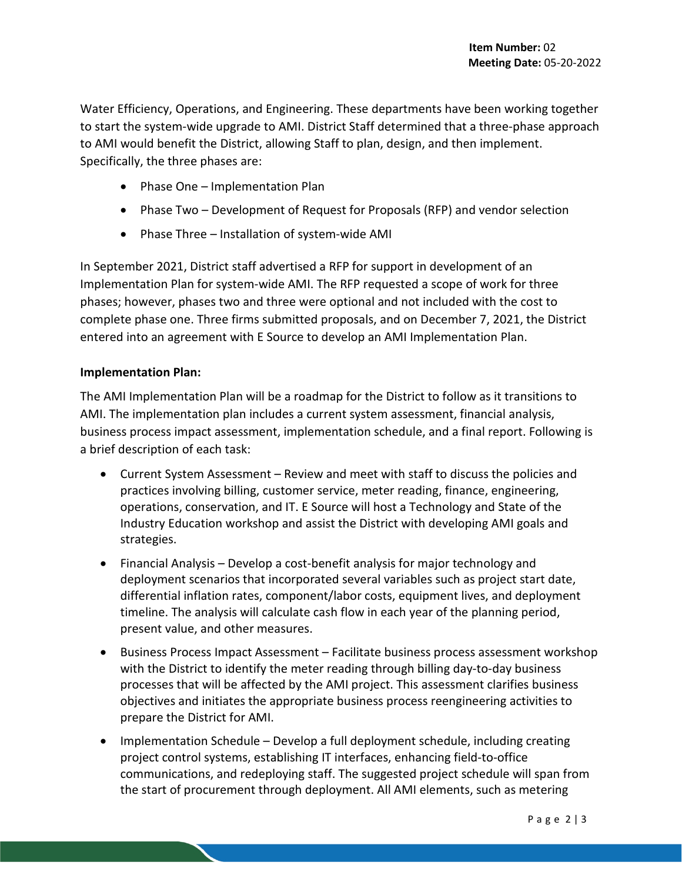Water Efficiency, Operations, and Engineering. These departments have been working together to start the system-wide upgrade to AMI. District Staff determined that a three-phase approach to AMI would benefit the District, allowing Staff to plan, design, and then implement. Specifically, the three phases are:

- Phase One Implementation Plan
- Phase Two Development of Request for Proposals (RFP) and vendor selection
- Phase Three Installation of system-wide AMI

In September 2021, District staff advertised a RFP for support in development of an Implementation Plan for system-wide AMI. The RFP requested a scope of work for three phases; however, phases two and three were optional and not included with the cost to complete phase one. Three firms submitted proposals, and on December 7, 2021, the District entered into an agreement with E Source to develop an AMI Implementation Plan.

#### **Implementation Plan:**

The AMI Implementation Plan will be a roadmap for the District to follow as it transitions to AMI. The implementation plan includes a current system assessment, financial analysis, business process impact assessment, implementation schedule, and a final report. Following is a brief description of each task:

- Current System Assessment Review and meet with staff to discuss the policies and practices involving billing, customer service, meter reading, finance, engineering, operations, conservation, and IT. E Source will host a Technology and State of the Industry Education workshop and assist the District with developing AMI goals and strategies.
- Financial Analysis Develop a cost-benefit analysis for major technology and deployment scenarios that incorporated several variables such as project start date, differential inflation rates, component/labor costs, equipment lives, and deployment timeline. The analysis will calculate cash flow in each year of the planning period, present value, and other measures.
- Business Process Impact Assessment Facilitate business process assessment workshop with the District to identify the meter reading through billing day-to-day business processes that will be affected by the AMI project. This assessment clarifies business objectives and initiates the appropriate business process reengineering activities to prepare the District for AMI.
- Implementation Schedule Develop a full deployment schedule, including creating project control systems, establishing IT interfaces, enhancing field-to-office communications, and redeploying staff. The suggested project schedule will span from the start of procurement through deployment. All AMI elements, such as metering